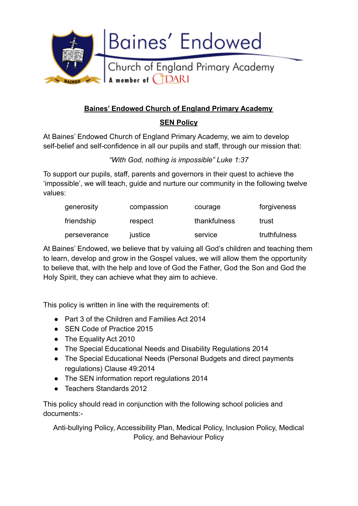

# **Baines' Endowed Church of England Primary Academy**

# **SEN Policy**

At Baines' Endowed Church of England Primary Academy, we aim to develop self-belief and self-confidence in all our pupils and staff, through our mission that:

*"With God, nothing is impossible" Luke 1:37*

To support our pupils, staff, parents and governors in their quest to achieve the 'impossible', we will teach, guide and nurture our community in the following twelve values:

| generosity   | compassion | courage      | forgiveness  |
|--------------|------------|--------------|--------------|
| friendship   | respect    | thankfulness | trust        |
| perseverance | justice    | service      | truthfulness |

At Baines' Endowed, we believe that by valuing all God's children and teaching them to learn, develop and grow in the Gospel values, we will allow them the opportunity to believe that, with the help and love of God the Father, God the Son and God the Holy Spirit, they can achieve what they aim to achieve.

This policy is written in line with the requirements of:

- Part 3 of the Children and Families Act 2014
- SEN Code of Practice 2015
- The Equality Act 2010
- The Special Educational Needs and Disability Regulations 2014
- The Special Educational Needs (Personal Budgets and direct payments regulations) Clause 49:2014
- The SEN information report regulations 2014
- Teachers Standards 2012

This policy should read in conjunction with the following school policies and documents:-

Anti-bullying Policy, Accessibility Plan, Medical Policy, Inclusion Policy, Medical Policy, and Behaviour Policy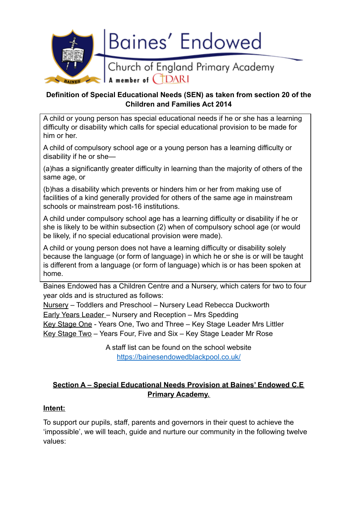

## **Definition of Special Educational Needs (SEN) as taken from section 20 of the Children and Families Act 2014**

A child or young person has special educational needs if he or she has a learning difficulty or disability which calls for special educational provision to be made for him or her.

A child of compulsory school age or a young person has a learning difficulty or disability if he or she—

(a)has a significantly greater difficulty in learning than the majority of others of the same age, or

(b)has a disability which prevents or hinders him or her from making use of facilities of a kind generally provided for others of the same age in mainstream schools or mainstream post-16 institutions.

A child under compulsory school age has a learning difficulty or disability if he or she is likely to be within subsection (2) when of compulsory school age (or would be likely, if no special educational provision were made).

A child or young person does not have a learning difficulty or disability solely because the language (or form of language) in which he or she is or will be taught is different from a language (or form of language) which is or has been spoken at home.

Baines Endowed has a Children Centre and a Nursery, which caters for two to four year olds and is structured as follows:

Nursery – Toddlers and Preschool – Nursery Lead Rebecca Duckworth Early Years Leader – Nursery and Reception – Mrs Spedding Key Stage One - Years One, Two and Three – Key Stage Leader Mrs Littler Key Stage Two – Years Four, Five and Six – Key Stage Leader Mr Rose

> A staff list can be found on the school website <https://bainesendowedblackpool.co.uk/>

# **Section A – Special Educational Needs Provision at Baines' Endowed C.E Primary Academy.**

# **Intent:**

To support our pupils, staff, parents and governors in their quest to achieve the 'impossible', we will teach, guide and nurture our community in the following twelve values: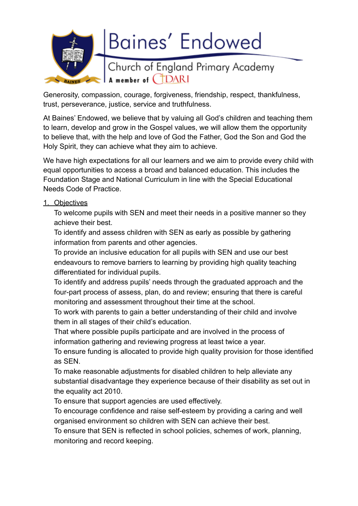

Generosity, compassion, courage, forgiveness, friendship, respect, thankfulness, trust, perseverance, justice, service and truthfulness.

At Baines' Endowed, we believe that by valuing all God's children and teaching them to learn, develop and grow in the Gospel values, we will allow them the opportunity to believe that, with the help and love of God the Father, God the Son and God the Holy Spirit, they can achieve what they aim to achieve.

We have high expectations for all our learners and we aim to provide every child with equal opportunities to access a broad and balanced education. This includes the Foundation Stage and National Curriculum in line with the Special Educational Needs Code of Practice.

#### 1. Objectives

To welcome pupils with SEN and meet their needs in a positive manner so they achieve their best.

To identify and assess children with SEN as early as possible by gathering information from parents and other agencies.

To provide an inclusive education for all pupils with SEN and use our best endeavours to remove barriers to learning by providing high quality teaching differentiated for individual pupils.

To identify and address pupils' needs through the graduated approach and the four-part process of assess, plan, do and review; ensuring that there is careful monitoring and assessment throughout their time at the school.

To work with parents to gain a better understanding of their child and involve them in all stages of their child's education.

That where possible pupils participate and are involved in the process of information gathering and reviewing progress at least twice a year.

To ensure funding is allocated to provide high quality provision for those identified as SEN.

To make reasonable adjustments for disabled children to help alleviate any substantial disadvantage they experience because of their disability as set out in the equality act 2010.

To ensure that support agencies are used effectively.

To encourage confidence and raise self-esteem by providing a caring and well organised environment so children with SEN can achieve their best.

To ensure that SEN is reflected in school policies, schemes of work, planning, monitoring and record keeping.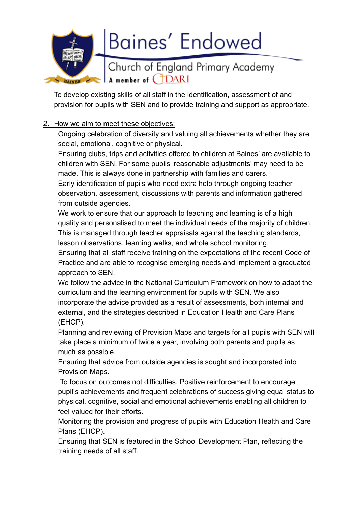

To develop existing skills of all staff in the identification, assessment of and provision for pupils with SEN and to provide training and support as appropriate.

## 2. How we aim to meet these objectives:

Ongoing celebration of diversity and valuing all achievements whether they are social, emotional, cognitive or physical.

Ensuring clubs, trips and activities offered to children at Baines' are available to children with SEN. For some pupils 'reasonable adjustments' may need to be made. This is always done in partnership with families and carers.

Early identification of pupils who need extra help through ongoing teacher observation, assessment, discussions with parents and information gathered from outside agencies.

We work to ensure that our approach to teaching and learning is of a high quality and personalised to meet the individual needs of the majority of children. This is managed through teacher appraisals against the teaching standards, lesson observations, learning walks, and whole school monitoring.

Ensuring that all staff receive training on the expectations of the recent Code of Practice and are able to recognise emerging needs and implement a graduated approach to SEN.

We follow the advice in the National Curriculum Framework on how to adapt the curriculum and the learning environment for pupils with SEN. We also incorporate the advice provided as a result of assessments, both internal and external, and the strategies described in Education Health and Care Plans (EHCP).

Planning and reviewing of Provision Maps and targets for all pupils with SEN will take place a minimum of twice a year, involving both parents and pupils as much as possible.

Ensuring that advice from outside agencies is sought and incorporated into Provision Maps.

To focus on outcomes not difficulties. Positive reinforcement to encourage pupil's achievements and frequent celebrations of success giving equal status to physical, cognitive, social and emotional achievements enabling all children to feel valued for their efforts.

Monitoring the provision and progress of pupils with Education Health and Care Plans (EHCP).

Ensuring that SEN is featured in the School Development Plan, reflecting the training needs of all staff.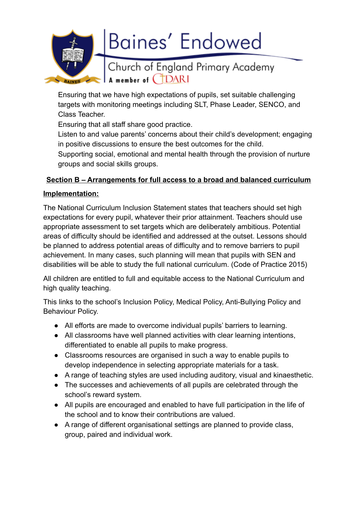

Ensuring that we have high expectations of pupils, set suitable challenging targets with monitoring meetings including SLT, Phase Leader, SENCO, and Class Teacher.

Ensuring that all staff share good practice.

Listen to and value parents' concerns about their child's development; engaging in positive discussions to ensure the best outcomes for the child.

Supporting social, emotional and mental health through the provision of nurture groups and social skills groups.

# **Section B – Arrangements for full access to a broad and balanced curriculum**

# **Implementation:**

The National Curriculum Inclusion Statement states that teachers should set high expectations for every pupil, whatever their prior attainment. Teachers should use appropriate assessment to set targets which are deliberately ambitious. Potential areas of difficulty should be identified and addressed at the outset. Lessons should be planned to address potential areas of difficulty and to remove barriers to pupil achievement. In many cases, such planning will mean that pupils with SEN and disabilities will be able to study the full national curriculum. (Code of Practice 2015)

All children are entitled to full and equitable access to the National Curriculum and high quality teaching.

This links to the school's Inclusion Policy, Medical Policy, Anti-Bullying Policy and Behaviour Policy.

- All efforts are made to overcome individual pupils' barriers to learning.
- All classrooms have well planned activities with clear learning intentions, differentiated to enable all pupils to make progress.
- Classrooms resources are organised in such a way to enable pupils to develop independence in selecting appropriate materials for a task.
- A range of teaching styles are used including auditory, visual and kinaesthetic.
- The successes and achievements of all pupils are celebrated through the school's reward system.
- All pupils are encouraged and enabled to have full participation in the life of the school and to know their contributions are valued.
- A range of different organisational settings are planned to provide class, group, paired and individual work.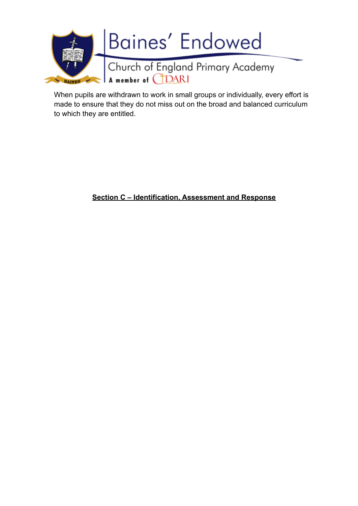

When pupils are withdrawn to work in small groups or individually, every effort is made to ensure that they do not miss out on the broad and balanced curriculum to which they are entitled.

**Section C – Identification, Assessment and Response**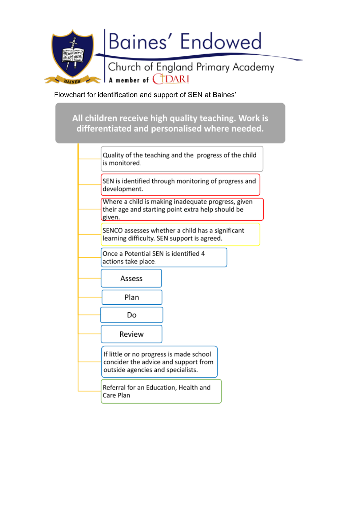

Flowchart for identification and support of SEN at Baines'

All children receive high quality teaching. Work is differentiated and personalised where needed.

| Quality of the teaching and the progress of the child<br>is monitored.                                               |
|----------------------------------------------------------------------------------------------------------------------|
| SEN is identified through monitoring of progress and<br>development.                                                 |
| Where a child is making inadequate progress, given<br>their age and starting point extra help should be<br>given.    |
| SENCO assesses whether a child has a significant<br>learning difficulty. SEN support is agreed.                      |
| Once a Potential SEN is identified 4<br>actions take place.                                                          |
| Assess                                                                                                               |
| Plan                                                                                                                 |
| Do                                                                                                                   |
| Review                                                                                                               |
| If little or no progress is made school<br>concider the advice and support from<br>outside agencies and specialists. |
| Referral for an Education, Health and<br>Care Plan                                                                   |
|                                                                                                                      |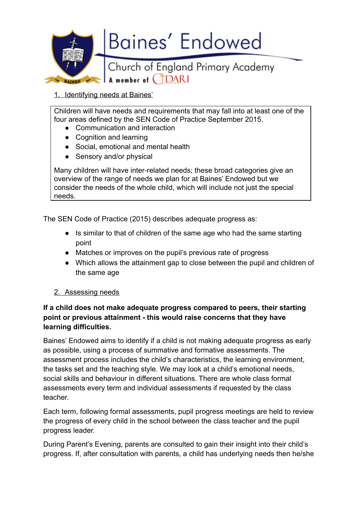

1. Identifying needs at Baines'

Children will have needs and requirements that may fall into at least one of the four areas defined by the SEN Code of Practice September 2015.

- Communication and interaction
- Cognition and learning
- Social, emotional and mental health
- Sensory and/or physical

Many children will have inter-related needs; these broad categories give an overview of the range of needs we plan for at Baines' Endowed but we consider the needs of the whole child, which will include not just the special needs.

The SEN Code of Practice (2015) describes adequate progress as:

- Is similar to that of children of the same age who had the same starting point
- Matches or improves on the pupil's previous rate of progress
- Which allows the attainment gap to close between the pupil and children of the same age

#### 2. Assessing needs

## **If a child does not make adequate progress compared to peers, their starting point or previous attainment - this would raise concerns that they have learning difficulties.**

Baines' Endowed aims to identify if a child is not making adequate progress as early as possible, using a process of summative and formative assessments. The assessment process includes the child's characteristics, the learning environment, the tasks set and the teaching style. We may look at a child's emotional needs, social skills and behaviour in different situations. There are whole class formal assessments every term and individual assessments if requested by the class teacher.

Each term, following formal assessments, pupil progress meetings are held to review the progress of every child in the school between the class teacher and the pupil progress leader.

During Parent's Evening, parents are consulted to gain their insight into their child's progress. If, after consultation with parents, a child has underlying needs then he/she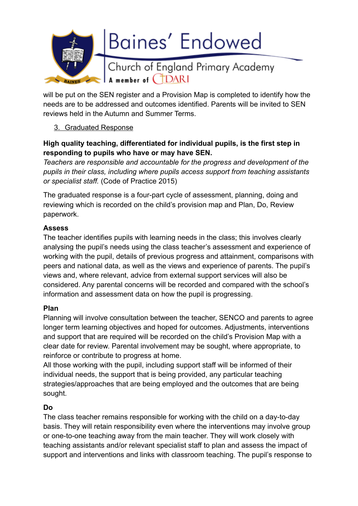

will be put on the SEN register and a Provision Map is completed to identify how the needs are to be addressed and outcomes identified. Parents will be invited to SEN reviews held in the Autumn and Summer Terms.

### 3. Graduated Response

# **High quality teaching, differentiated for individual pupils, is the first step in responding to pupils who have or may have SEN.**

*Teachers are responsible and accountable for the progress and development of the pupils in their class, including where pupils access support from teaching assistants or specialist staff.* (Code of Practice 2015)

The graduated response is a four-part cycle of assessment, planning, doing and reviewing which is recorded on the child's provision map and Plan, Do, Review paperwork.

### **Assess**

The teacher identifies pupils with learning needs in the class; this involves clearly analysing the pupil's needs using the class teacher's assessment and experience of working with the pupil, details of previous progress and attainment, comparisons with peers and national data, as well as the views and experience of parents. The pupil's views and, where relevant, advice from external support services will also be considered. Any parental concerns will be recorded and compared with the school's information and assessment data on how the pupil is progressing.

#### **Plan**

Planning will involve consultation between the teacher, SENCO and parents to agree longer term learning objectives and hoped for outcomes. Adjustments, interventions and support that are required will be recorded on the child's Provision Map with a clear date for review. Parental involvement may be sought, where appropriate, to reinforce or contribute to progress at home.

All those working with the pupil, including support staff will be informed of their individual needs, the support that is being provided, any particular teaching strategies/approaches that are being employed and the outcomes that are being sought.

# **Do**

The class teacher remains responsible for working with the child on a day-to-day basis. They will retain responsibility even where the interventions may involve group or one-to-one teaching away from the main teacher. They will work closely with teaching assistants and/or relevant specialist staff to plan and assess the impact of support and interventions and links with classroom teaching. The pupil's response to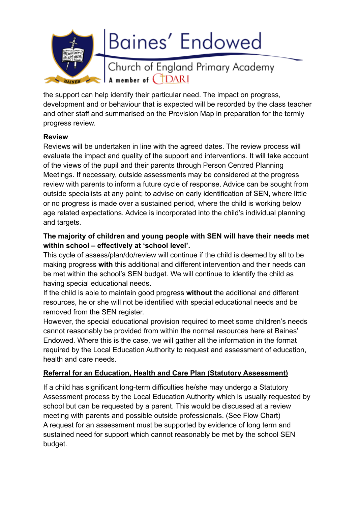

the support can help identify their particular need. The impact on progress, development and or behaviour that is expected will be recorded by the class teacher and other staff and summarised on the Provision Map in preparation for the termly progress review.

### **Review**

Reviews will be undertaken in line with the agreed dates. The review process will evaluate the impact and quality of the support and interventions. It will take account of the views of the pupil and their parents through Person Centred Planning Meetings. If necessary, outside assessments may be considered at the progress review with parents to inform a future cycle of response. Advice can be sought from outside specialists at any point; to advise on early identification of SEN, where little or no progress is made over a sustained period, where the child is working below age related expectations. Advice is incorporated into the child's individual planning and targets.

# **The majority of children and young people with SEN will have their needs met within school – effectively at 'school level'.**

This cycle of assess/plan/do/review will continue if the child is deemed by all to be making progress **with** this additional and different intervention and their needs can be met within the school's SEN budget. We will continue to identify the child as having special educational needs.

If the child is able to maintain good progress **without** the additional and different resources, he or she will not be identified with special educational needs and be removed from the SEN register.

However, the special educational provision required to meet some children's needs cannot reasonably be provided from within the normal resources here at Baines' Endowed. Where this is the case, we will gather all the information in the format required by the Local Education Authority to request and assessment of education, health and care needs.

# **Referral for an Education, Health and Care Plan (Statutory Assessment)**

If a child has significant long-term difficulties he/she may undergo a Statutory Assessment process by the Local Education Authority which is usually requested by school but can be requested by a parent. This would be discussed at a review meeting with parents and possible outside professionals. (See Flow Chart) A request for an assessment must be supported by evidence of long term and sustained need for support which cannot reasonably be met by the school SEN budget.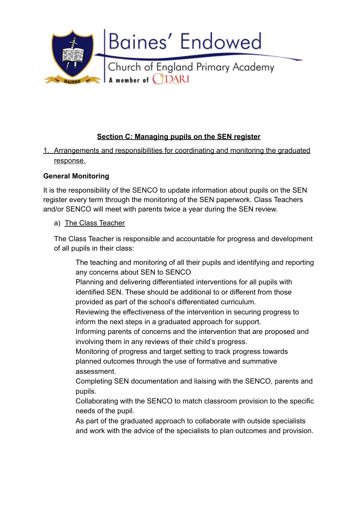

# **Section C: Managing pupils on the SEN register**

1. Arrangements and responsibilities for coordinating and monitoring the graduated response.

### **General Monitoring**

It is the responsibility of the SENCO to update information about pupils on the SEN register every term through the monitoring of the SEN paperwork. Class Teachers and/or SENCO will meet with parents twice a year during the SEN review.

#### a) The Class Teacher

The Class Teacher is responsible and accountable for progress and development of all pupils in their class:

The teaching and monitoring of all their pupils and identifying and reporting any concerns about SEN to SENCO

Planning and delivering differentiated interventions for all pupils with identified SEN. These should be additional to or different from those provided as part of the school's differentiated curriculum.

Reviewing the effectiveness of the intervention in securing progress to inform the next steps in a graduated approach for support.

Informing parents of concerns and the intervention that are proposed and involving them in any reviews of their child's progress.

Monitoring of progress and target setting to track progress towards planned outcomes through the use of formative and summative assessment.

Completing SEN documentation and liaising with the SENCO, parents and pupils.

Collaborating with the SENCO to match classroom provision to the specific needs of the pupil.

As part of the graduated approach to collaborate with outside specialists and work with the advice of the specialists to plan outcomes and provision.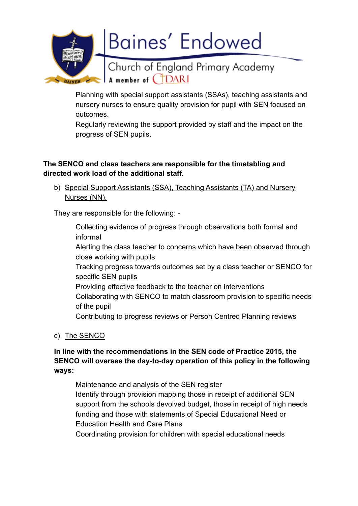

Planning with special support assistants (SSAs), teaching assistants and nursery nurses to ensure quality provision for pupil with SEN focused on outcomes.

Regularly reviewing the support provided by staff and the impact on the progress of SEN pupils.

### **The SENCO and class teachers are responsible for the timetabling and directed work load of the additional staff.**

b) Special Support Assistants (SSA), Teaching Assistants (TA) and Nursery Nurses (NN).

They are responsible for the following: -

Collecting evidence of progress through observations both formal and informal Alerting the class teacher to concerns which have been observed through close working with pupils Tracking progress towards outcomes set by a class teacher or SENCO for specific SEN pupils Providing effective feedback to the teacher on interventions Collaborating with SENCO to match classroom provision to specific needs of the pupil Contributing to progress reviews or Person Centred Planning reviews

c) The SENCO

# **In line with the recommendations in the SEN code of Practice 2015, the SENCO will oversee the day-to-day operation of this policy in the following ways:**

Maintenance and analysis of the SEN register Identify through provision mapping those in receipt of additional SEN support from the schools devolved budget, those in receipt of high needs funding and those with statements of Special Educational Need or Education Health and Care Plans

Coordinating provision for children with special educational needs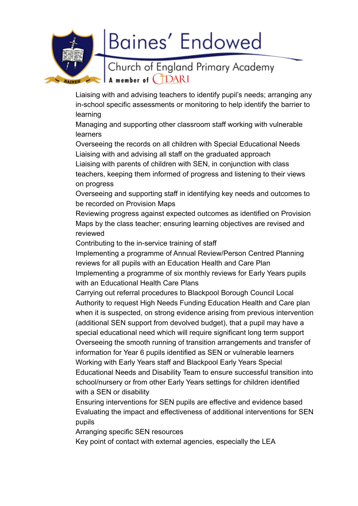

Liaising with and advising teachers to identify pupil's needs; arranging any in-school specific assessments or monitoring to help identify the barrier to learning

Managing and supporting other classroom staff working with vulnerable learners

Overseeing the records on all children with Special Educational Needs Liaising with and advising all staff on the graduated approach Liaising with parents of children with SEN, in conjunction with class teachers, keeping them informed of progress and listening to their views on progress

Overseeing and supporting staff in identifying key needs and outcomes to be recorded on Provision Maps

Reviewing progress against expected outcomes as identified on Provision Maps by the class teacher; ensuring learning objectives are revised and reviewed

Contributing to the in-service training of staff

Implementing a programme of Annual Review/Person Centred Planning reviews for all pupils with an Education Health and Care Plan Implementing a programme of six monthly reviews for Early Years pupils with an Educational Health Care Plans

Carrying out referral procedures to Blackpool Borough Council Local Authority to request High Needs Funding Education Health and Care plan when it is suspected, on strong evidence arising from previous intervention (additional SEN support from devolved budget), that a pupil may have a special educational need which will require significant long term support Overseeing the smooth running of transition arrangements and transfer of information for Year 6 pupils identified as SEN or vulnerable learners Working with Early Years staff and Blackpool Early Years Special Educational Needs and Disability Team to ensure successful transition into school/nursery or from other Early Years settings for children identified with a SEN or disability

Ensuring interventions for SEN pupils are effective and evidence based Evaluating the impact and effectiveness of additional interventions for SEN pupils

Arranging specific SEN resources

Key point of contact with external agencies, especially the LEA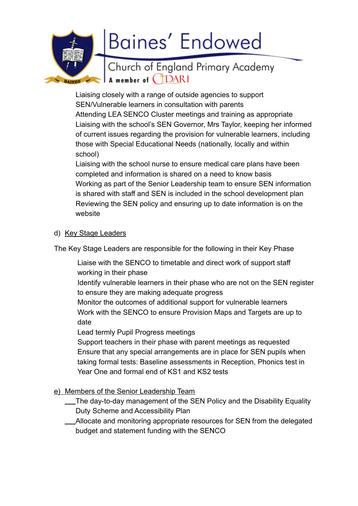

Liaising closely with a range of outside agencies to support SEN/Vulnerable learners in consultation with parents Attending LEA SENCO Cluster meetings and training as appropriate Liaising with the school's SEN Governor, Mrs Taylor, keeping her informed of current issues regarding the provision for vulnerable learners, including those with Special Educational Needs (nationally, locally and within school)

Liaising with the school nurse to ensure medical care plans have been completed and information is shared on a need to know basis Working as part of the Senior Leadership team to ensure SEN information is shared with staff and SEN is included in the school development plan Reviewing the SEN policy and ensuring up to date information is on the website

#### d) Key Stage Leaders

The Key Stage Leaders are responsible for the following in their Key Phase

- Liaise with the SENCO to timetable and direct work of support staff working in their phase
- Identify vulnerable learners in their phase who are not on the SEN register to ensure they are making adequate progress
- Monitor the outcomes of additional support for vulnerable learners Work with the SENCO to ensure Provision Maps and Targets are up to date

Lead termly Pupil Progress meetings

Support teachers in their phase with parent meetings as requested Ensure that any special arrangements are in place for SEN pupils when taking formal tests: Baseline assessments in Reception, Phonics test in Year One and formal end of KS1 and KS2 tests

- e) Members of the Senior Leadership Team
	- The day-to-day management of the SEN Policy and the Disability Equality Duty Scheme and Accessibility Plan
	- Allocate and monitoring appropriate resources for SEN from the delegated budget and statement funding with the SENCO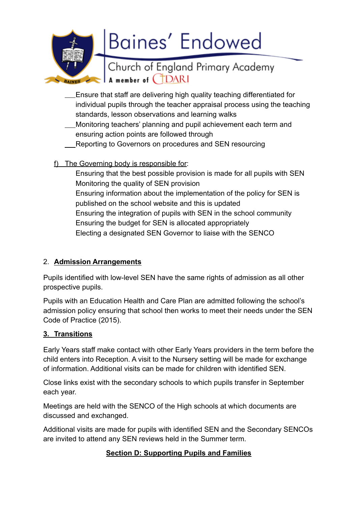**Baines' Endowed** Church of England Primary Academy **BAINES** A member of **CDARI** 

- Ensure that staff are delivering high quality teaching differentiated for individual pupils through the teacher appraisal process using the teaching standards, lesson observations and learning walks
- Monitoring teachers' planning and pupil achievement each term and ensuring action points are followed through
- Reporting to Governors on procedures and SEN resourcing
- f) The Governing body is responsible for:

Ensuring that the best possible provision is made for all pupils with SEN Monitoring the quality of SEN provision Ensuring information about the implementation of the policy for SEN is published on the school website and this is updated Ensuring the integration of pupils with SEN in the school community Ensuring the budget for SEN is allocated appropriately Electing a designated SEN Governor to liaise with the SENCO

# 2. **Admission Arrangements**

Pupils identified with low-level SEN have the same rights of admission as all other prospective pupils.

Pupils with an Education Health and Care Plan are admitted following the school's admission policy ensuring that school then works to meet their needs under the SEN Code of Practice (2015).

# **3. Transitions**

Early Years staff make contact with other Early Years providers in the term before the child enters into Reception. A visit to the Nursery setting will be made for exchange of information. Additional visits can be made for children with identified SEN.

Close links exist with the secondary schools to which pupils transfer in September each year.

Meetings are held with the SENCO of the High schools at which documents are discussed and exchanged.

Additional visits are made for pupils with identified SEN and the Secondary SENCOs are invited to attend any SEN reviews held in the Summer term.

# **Section D: Supporting Pupils and Families**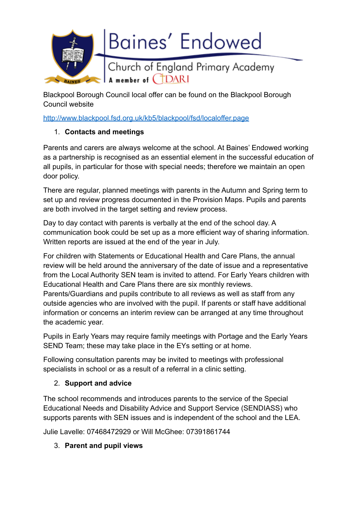

Blackpool Borough Council local offer can be found on the Blackpool Borough Council website

<http://www.blackpool.fsd.org.uk/kb5/blackpool/fsd/localoffer.page>

# 1. **Contacts and meetings**

Parents and carers are always welcome at the school. At Baines' Endowed working as a partnership is recognised as an essential element in the successful education of all pupils, in particular for those with special needs; therefore we maintain an open door policy.

There are regular, planned meetings with parents in the Autumn and Spring term to set up and review progress documented in the Provision Maps. Pupils and parents are both involved in the target setting and review process.

Day to day contact with parents is verbally at the end of the school day. A communication book could be set up as a more efficient way of sharing information. Written reports are issued at the end of the year in July.

For children with Statements or Educational Health and Care Plans, the annual review will be held around the anniversary of the date of issue and a representative from the Local Authority SEN team is invited to attend. For Early Years children with Educational Health and Care Plans there are six monthly reviews.

Parents/Guardians and pupils contribute to all reviews as well as staff from any outside agencies who are involved with the pupil. If parents or staff have additional information or concerns an interim review can be arranged at any time throughout the academic year.

Pupils in Early Years may require family meetings with Portage and the Early Years SEND Team; these may take place in the EYs setting or at home.

Following consultation parents may be invited to meetings with professional specialists in school or as a result of a referral in a clinic setting.

# 2. **Support and advice**

The school recommends and introduces parents to the service of the Special Educational Needs and Disability Advice and Support Service (SENDIASS) who supports parents with SEN issues and is independent of the school and the LEA.

Julie Lavelle: 07468472929 or Will McGhee: 07391861744

# 3. **Parent and pupil views**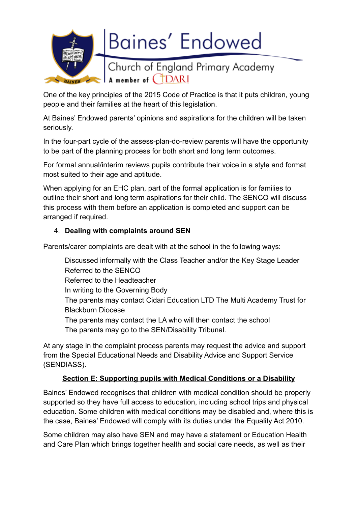

One of the key principles of the 2015 Code of Practice is that it puts children, young people and their families at the heart of this legislation.

At Baines' Endowed parents' opinions and aspirations for the children will be taken seriously.

In the four-part cycle of the assess-plan-do-review parents will have the opportunity to be part of the planning process for both short and long term outcomes.

For formal annual/interim reviews pupils contribute their voice in a style and format most suited to their age and aptitude.

When applying for an EHC plan, part of the formal application is for families to outline their short and long term aspirations for their child. The SENCO will discuss this process with them before an application is completed and support can be arranged if required.

# 4. **Dealing with complaints around SEN**

Parents/carer complaints are dealt with at the school in the following ways:

Discussed informally with the Class Teacher and/or the Key Stage Leader Referred to the SENCO Referred to the Headteacher In writing to the Governing Body The parents may contact Cidari Education LTD The Multi Academy Trust for Blackburn Diocese The parents may contact the LA who will then contact the school The parents may go to the SEN/Disability Tribunal.

At any stage in the complaint process parents may request the advice and support from the Special Educational Needs and Disability Advice and Support Service (SENDIASS).

#### **Section E: Supporting pupils with Medical Conditions or a Disability**

Baines' Endowed recognises that children with medical condition should be properly supported so they have full access to education, including school trips and physical education. Some children with medical conditions may be disabled and, where this is the case, Baines' Endowed will comply with its duties under the Equality Act 2010.

Some children may also have SEN and may have a statement or Education Health and Care Plan which brings together health and social care needs, as well as their